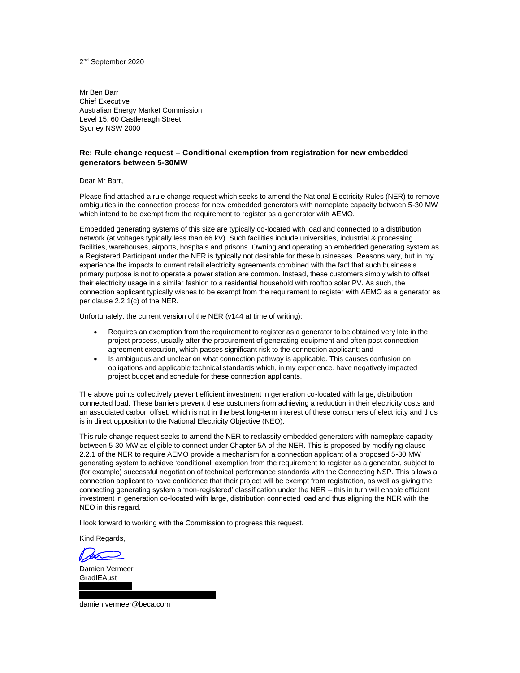Mr Ben Barr Chief Executive Australian Energy Market Commission Level 15, 60 Castlereagh Street Sydney NSW 2000

#### **Re: Rule change request – Conditional exemption from registration for new embedded generators between 5-30MW**

#### Dear Mr Barr,

Please find attached a rule change request which seeks to amend the National Electricity Rules (NER) to remove ambiguities in the connection process for new embedded generators with nameplate capacity between 5-30 MW which intend to be exempt from the requirement to register as a generator with AEMO.

Embedded generating systems of this size are typically co-located with load and connected to a distribution network (at voltages typically less than 66 kV). Such facilities include universities, industrial & processing facilities, warehouses, airports, hospitals and prisons. Owning and operating an embedded generating system as a Registered Participant under the NER is typically not desirable for these businesses. Reasons vary, but in my experience the impacts to current retail electricity agreements combined with the fact that such business's primary purpose is not to operate a power station are common. Instead, these customers simply wish to offset their electricity usage in a similar fashion to a residential household with rooftop solar PV. As such, the connection applicant typically wishes to be exempt from the requirement to register with AEMO as a generator as per clause 2.2.1(c) of the NER.

Unfortunately, the current version of the NER (v144 at time of writing):

- Requires an exemption from the requirement to register as a generator to be obtained very late in the project process, usually after the procurement of generating equipment and often post connection agreement execution, which passes significant risk to the connection applicant; and
- Is ambiguous and unclear on what connection pathway is applicable. This causes confusion on obligations and applicable technical standards which, in my experience, have negatively impacted project budget and schedule for these connection applicants.

The above points collectively prevent efficient investment in generation co-located with large, distribution connected load. These barriers prevent these customers from achieving a reduction in their electricity costs and an associated carbon offset, which is not in the best long-term interest of these consumers of electricity and thus is in direct opposition to the National Electricity Objective (NEO).

This rule change request seeks to amend the NER to reclassify embedded generators with nameplate capacity between 5-30 MW as eligible to connect under Chapter 5A of the NER. This is proposed by modifying clause 2.2.1 of the NER to require AEMO provide a mechanism for a connection applicant of a proposed 5-30 MW generating system to achieve 'conditional' exemption from the requirement to register as a generator, subject to (for example) successful negotiation of technical performance standards with the Connecting NSP. This allows a connection applicant to have confidence that their project will be exempt from registration, as well as giving the connecting generating system a 'non-registered' classification under the NER – this in turn will enable efficient investment in generation co-located with large, distribution connected load and thus aligning the NER with the NEO in this regard.

I look forward to working with the Commission to progress this request.

Kind Regards,

Damien Vermeer **GradIFAust** 

[damien.vermeer@beca.com](mailto:damien.vermeer@beca.com)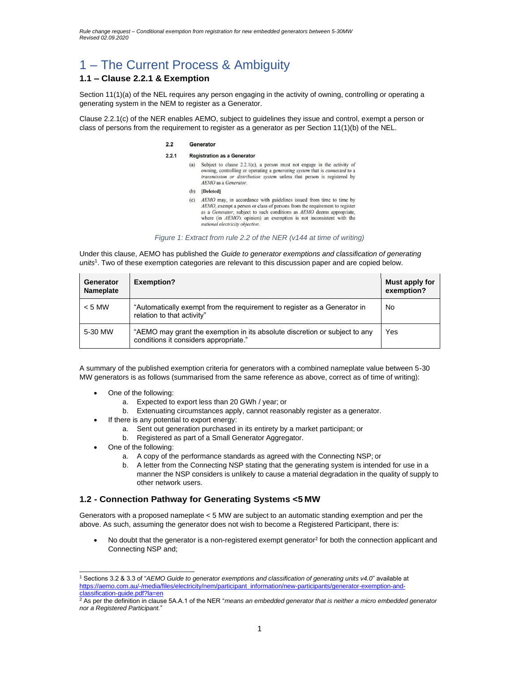# 1 – The Current Process & Ambiguity

### **1.1 – Clause 2.2.1 & Exemption**

Section 11(1)(a) of the NEL requires any person engaging in the activity of owning, controlling or operating a generating system in the NEM to register as a Generator.

Clause 2.2.1(c) of the NER enables AEMO, subject to guidelines they issue and control, exempt a person or class of persons from the requirement to register as a generator as per Section 11(1)(b) of the NEL.

#### $22$ Generator

#### $2.2.1$ **Registration as a Generator**

- (a) Subject to clause 2.2.1(c), a person must not engage in the activity of owning, controlling or operating a generating system that is connected to a transmission or distribution system unless that person is registered by AEMO as a Generator.
- (b) [Deleted]
- (c) AEMO may, in accordance with guidelines issued from time to time by AEMO, exempt a person or class of persons from the requirement to register as a *Generator*, subject to such conditions as  $AEMO$  deems appropriate, where (in  $AEMO$ 's opinion) an exemption is not inconsistent with the national electricity objective.

*Figure 1: Extract from rule 2.2 of the NER (v144 at time of writing)*

Under this clause, AEMO has published the *Guide to generator exemptions and classification of generating units*<sup>1</sup> . Two of these exemption categories are relevant to this discussion paper and are copied below.

| Generator<br>Nameplate | <b>Exemption?</b>                                                                                                   | Must apply for<br>exemption? |
|------------------------|---------------------------------------------------------------------------------------------------------------------|------------------------------|
| $< 5$ MW               | "Automatically exempt from the requirement to register as a Generator in<br>relation to that activity"              | No                           |
| 5-30 MW                | "AEMO may grant the exemption in its absolute discretion or subject to any<br>conditions it considers appropriate." | Yes                          |

A summary of the published exemption criteria for generators with a combined nameplate value between 5-30 MW generators is as follows (summarised from the same reference as above, correct as of time of writing):

- One of the following:
	- a. Expected to export less than 20 GWh / year; or
	- b. Extenuating circumstances apply, cannot reasonably register as a generator.
- If there is any potential to export energy:
	- a. Sent out generation purchased in its entirety by a market participant; or
	- b. Registered as part of a Small Generator Aggregator.
- One of the following:
	- a. A copy of the performance standards as agreed with the Connecting NSP; or
	- b. A letter from the Connecting NSP stating that the generating system is intended for use in a manner the NSP considers is unlikely to cause a material degradation in the quality of supply to other network users.

#### **1.2 - Connection Pathway for Generating Systems <5 MW**

Generators with a proposed nameplate < 5 MW are subject to an automatic standing exemption and per the above. As such, assuming the generator does not wish to become a Registered Participant, there is:

• No doubt that the generator is a non-registered exempt generator<sup>2</sup> for both the connection applicant and Connecting NSP and;

<sup>1</sup> Sections 3.2 & 3.3 of "*AEMO Guide to generator exemptions and classification of generating units v4.0*" available at https://aemo.com.au/-/media/files/electricity/nem/participant\_information/new-participants/generator-exemption-andclassification-guide.pdf?la=en

<sup>2</sup> As per the definition in clause 5A.A.1 of the NER "*means an embedded generator that is neither a micro embedded generator nor a Registered Participant.*"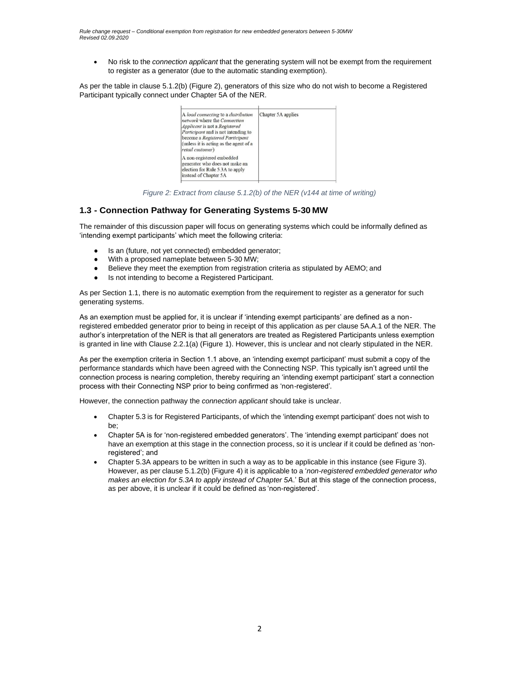• No risk to the *connection applicant* that the generating system will not be exempt from the requirement to register as a generator (due to the automatic standing exemption).

As per the table in clause 5.1.2(b) (Figure 2), generators of this size who do not wish to become a Registered Participant typically connect under Chapter 5A of the NER.

| A load connecting to a distribution<br>network where the Connection<br>Applicant is not a Registered<br>Participant and is not intending to<br>become a Registered Participant<br>(unless it is acting as the agent of a<br>retail customer) | Chapter 5A applies |  |
|----------------------------------------------------------------------------------------------------------------------------------------------------------------------------------------------------------------------------------------------|--------------------|--|
| A non-registered embedded<br>generator who does not make an<br>election for Rule 5.3A to apply<br>instead of Chapter 5A                                                                                                                      |                    |  |
|                                                                                                                                                                                                                                              |                    |  |

*Figure 2: Extract from clause 5.1.2(b) of the NER (v144 at time of writing)*

#### **1.3 - Connection Pathway for Generating Systems 5-30 MW**

The remainder of this discussion paper will focus on generating systems which could be informally defined as 'intending exempt participants' which meet the following criteria:

- Is an (future, not yet connected) embedded generator;
- With a proposed nameplate between 5-30 MW;
- Believe they meet the exemption from registration criteria as stipulated by AEMO; and
- Is not intending to become a Registered Participant.

As per Section 1.1, there is no automatic exemption from the requirement to register as a generator for such generating systems.

As an exemption must be applied for, it is unclear if 'intending exempt participants' are defined as a nonregistered embedded generator prior to being in receipt of this application as per clause 5A.A.1 of the NER. The author's interpretation of the NER is that all generators are treated as Registered Participants unless exemption is granted in line with Clause 2.2.1(a) (Figure 1). However, this is unclear and not clearly stipulated in the NER.

As per the exemption criteria in Section 1.1 above, an 'intending exempt participant' must submit a copy of the performance standards which have been agreed with the Connecting NSP. This typically isn't agreed until the connection process is nearing completion, thereby requiring an 'intending exempt participant' start a connection process with their Connecting NSP prior to being confirmed as 'non-registered'*.*

However, the connection pathway the *connection applicant* should take is unclear.

- Chapter 5.3 is for Registered Participants, of which the 'intending exempt participant' does not wish to be;
- Chapter 5A is for 'non-registered embedded generators'. The 'intending exempt participant' does not have an exemption at this stage in the connection process, so it is unclear if it could be defined as 'nonregistered'; and
- Chapter 5.3A appears to be written in such a way as to be applicable in this instance (see Figure 3). However, as per clause 5.1.2(b) (Figure 4) it is applicable to a '*non-registered embedded generator who makes an election for 5.3A to apply instead of Chapter 5A*.' But at this stage of the connection process, as per above, it is unclear if it could be defined as 'non-registered'.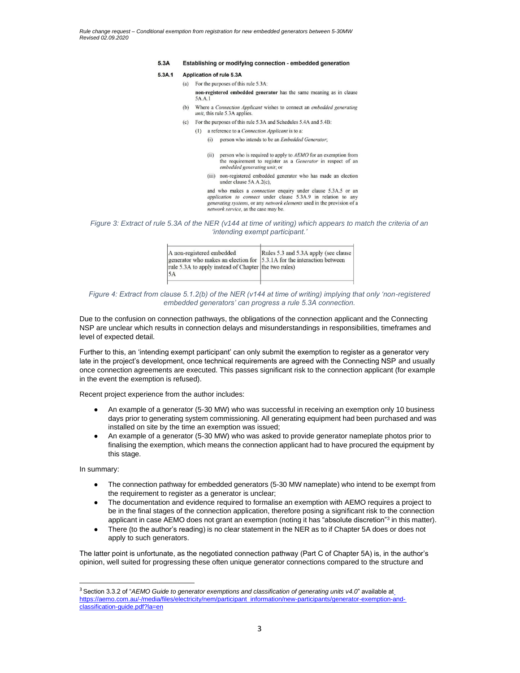#### 5.3A Establishing or modifying connection - embedded generation

#### $5,3A,1$ Application of rule 5.3A

- (a) For the purposes of this rule 5.3A: non-registered embedded generator has the same meaning as in clause 5A.A.1
- (b) Where a Connection Applicant wishes to connect an embedded generating *unit*, this rule 5.3A applies.
- (c) For the purposes of this rule 5.3A and Schedules 5.4A and 5.4B:
	- (1) a reference to a *Connection Applicant* is to a:
		- (i) person who intends to be an *Embedded Generator*;
		- (ii) person who is required to apply to  $AEMO$  for an exemption from the requirement to register as a Generator in respect of an embedded generating unit; or
		- (iii) non-registered embedded generator who has made an election under clause 5A, A, 2(c),

and who makes a *connection* enquiry under clause 5.3A.5 or an *application to connect* under clause 5.3A.9 in relation to any generating systems, or any network elements used in the provision of a network service, as the case may be.

*Figure 3: Extract of rule 5.3A of the NER (v144 at time of writing) which appears to match the criteria of an 'intending exempt participant.'*

| A non-registered embedded<br>generator who makes an election for 5.3.1A for the interaction between<br>rule 5.3A to apply instead of Chapter the two rules)<br>5A | Rules 5.3 and 5.3A apply (see clause |
|-------------------------------------------------------------------------------------------------------------------------------------------------------------------|--------------------------------------|
|-------------------------------------------------------------------------------------------------------------------------------------------------------------------|--------------------------------------|

#### *Figure 4: Extract from clause 5.1.2(b) of the NER (v144 at time of writing) implying that only 'non-registered embedded generators' can progress a rule 5.3A connection.*

Due to the confusion on connection pathways, the obligations of the connection applicant and the Connecting NSP are unclear which results in connection delays and misunderstandings in responsibilities, timeframes and level of expected detail.

Further to this, an 'intending exempt participant' can only submit the exemption to register as a generator very late in the project's development, once technical requirements are agreed with the Connecting NSP and usually once connection agreements are executed. This passes significant risk to the connection applicant (for example in the event the exemption is refused).

Recent project experience from the author includes:

- An example of a generator (5-30 MW) who was successful in receiving an exemption only 10 business days prior to generating system commissioning. All generating equipment had been purchased and was installed on site by the time an exemption was issued;
- An example of a generator (5-30 MW) who was asked to provide generator nameplate photos prior to finalising the exemption, which means the connection applicant had to have procured the equipment by this stage.

In summary:

- The connection pathway for embedded generators (5-30 MW nameplate) who intend to be exempt from the requirement to register as a generator is unclear;
- The documentation and evidence required to formalise an exemption with AEMO requires a project to be in the final stages of the connection application, therefore posing a significant risk to the connection applicant in case AEMO does not grant an exemption (noting it has "absolute discretion"<sup>3</sup> in this matter).
- There (to the author's reading) is no clear statement in the NER as to if Chapter 5A does or does not apply to such generators.

The latter point is unfortunate, as the negotiated connection pathway (Part C of Chapter 5A) is, in the author's opinion, well suited for progressing these often unique generator connections compared to the structure and

<sup>&</sup>lt;sup>3</sup> Section 3.3.2 of "AEMO Guide to generator exemptions and classification of generating units v4.0" available at\_ https://aemo.com.au/-/media/files/electricity/nem/participant\_information/new-participants/generator-exemption-andclassification-guide.pdf?la=en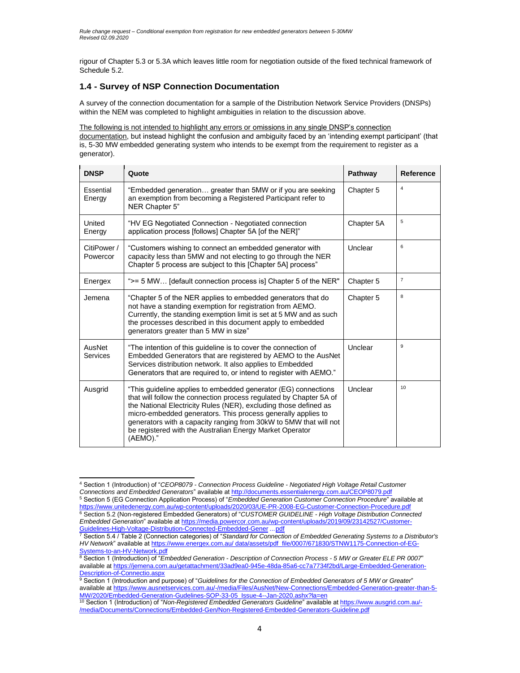rigour of Chapter 5.3 or 5.3A which leaves little room for negotiation outside of the fixed technical framework of Schedule 5.2.

### **1.4 - Survey of NSP Connection Documentation**

A survey of the connection documentation for a sample of the Distribution Network Service Providers (DNSPs) within the NEM was completed to highlight ambiguities in relation to the discussion above.

The following is not intended to highlight any errors or omissions in any single DNSP's connection

documentation, but instead highlight the confusion and ambiguity faced by an 'intending exempt participant' (that is, 5-30 MW embedded generating system who intends to be exempt from the requirement to register as a generator).

| <b>DNSP</b>                | Quote                                                                                                                                                                                                                                                                                                                                                                                                                 | Pathway    | Reference      |
|----------------------------|-----------------------------------------------------------------------------------------------------------------------------------------------------------------------------------------------------------------------------------------------------------------------------------------------------------------------------------------------------------------------------------------------------------------------|------------|----------------|
| <b>Essential</b><br>Energy | "Embedded generation greater than 5MW or if you are seeking<br>an exemption from becoming a Registered Participant refer to<br>NER Chapter 5"                                                                                                                                                                                                                                                                         | Chapter 5  | $\overline{4}$ |
| United<br>Energy           | "HV EG Negotiated Connection - Negotiated connection<br>application process [follows] Chapter 5A [of the NER]"                                                                                                                                                                                                                                                                                                        | Chapter 5A | 5              |
| CitiPower /<br>Powercor    | "Customers wishing to connect an embedded generator with<br>capacity less than 5MW and not electing to go through the NER<br>Chapter 5 process are subject to this [Chapter 5A] process"                                                                                                                                                                                                                              | Unclear    | 6              |
| Energex                    | ">= 5 MW [default connection process is] Chapter 5 of the NER"                                                                                                                                                                                                                                                                                                                                                        | Chapter 5  | $\overline{7}$ |
| Jemena                     | "Chapter 5 of the NER applies to embedded generators that do<br>not have a standing exemption for registration from AEMO.<br>Currently, the standing exemption limit is set at 5 MW and as such<br>the processes described in this document apply to embedded<br>generators greater than 5 MW in size"                                                                                                                | Chapter 5  | 8              |
| AusNet<br>Services         | "The intention of this guideline is to cover the connection of<br>Embedded Generators that are registered by AEMO to the AusNet<br>Services distribution network. It also applies to Embedded<br>Generators that are required to, or intend to register with AEMO."                                                                                                                                                   | Unclear    | 9              |
| Ausgrid                    | "This guideline applies to embedded generator (EG) connections<br>that will follow the connection process regulated by Chapter 5A of<br>the National Electricity Rules (NER), excluding those defined as<br>micro-embedded generators. This process generally applies to<br>generators with a capacity ranging from 30kW to 5MW that will not<br>be registered with the Australian Energy Market Operator<br>(AEMO)." | Unclear    | 10             |

<sup>4</sup> Section 1 (Introduction) of "*CEOP8079 - Connection Process Guideline - Negotiated High Voltage Retail Customer Connections and Embedded Generators*" available a[t http://documents.essentialenergy.com.au/CEOP8079.pdf](http://documents.essentialenergy.com.au/CEOP8079.pdf)

<sup>5</sup> Section 5 (EG Connection Application Process) of "*Embedded Generation Customer Connection Procedure*" available at https:[//www.unitedenergy.com.au/wp-content/uploads/2020/03/UE-PR-2008-EG-Customer-Connection-Procedure.pdf](http://www.unitedenergy.com.au/wp-content/uploads/2020/03/UE-PR-2008-EG-Customer-Connection-Procedure.pdf) <sup>6</sup> Section 5.2 (Non-registered Embedded Generators) of "*CUSTOMER GUIDELINE - High Voltage Distribution Connected Embedded Generation*" available at https://media.powercor.com.au/wp-content/uploads/2019/09/23142527/Customer-Guidelines-High-Voltage-Distribution-Connected-Embedded-Gener ...pdf

<sup>7</sup> Section 5.4 / Table 2 (Connection categories) of "*Standard for Connection of Embedded Generating Systems to a Distributor's HV Network*" available at https:[//www.energex.com.au/](http://www.energex.com.au/) data/assets/pdf\_file/0007/671830/STNW1175-Connection-of-EG-Systems-to-an-HV-Network.pdf

<sup>8</sup> Section 1 (Introduction) of "*Embedded Generation - Description of Connection Process - 5 MW or Greater ELE PR 0007*" available at https://jemena.com.au/getattachment/33ad9ea0-945e-48da-85a6-cc7a7734f2bd/Large-Embedded-Generation-Description-of-Connectio.aspx

<sup>9</sup> Section 1 (Introduction and purpose) of "*Guidelines for the Connection of Embedded Generators of 5 MW or Greater*" available at https:[//www.ausnetservices.com.au/-/media/Files/AusNet/New-Connections/Embedded-Generation-greater-than-5-](http://www.ausnetservices.com.au/-/media/Files/AusNet/New-Connections/Embedded-Generation-greater-than-5-)

MW/2020/Embedded-Generation-Gudelines-SOP-33-05\_Issue-4--Jan-2020.ashx?la=en <sup>10</sup> Section 1 (Introduction) of "*Non-Registered Embedded Generators Guideline*" available at https:[//www.ausgrid.com.au/-](http://www.ausgrid.com.au/-) /media/Documents/Connections/Embedded-Gen/Non-Registered-Embedded-Generators-Guideline.pdf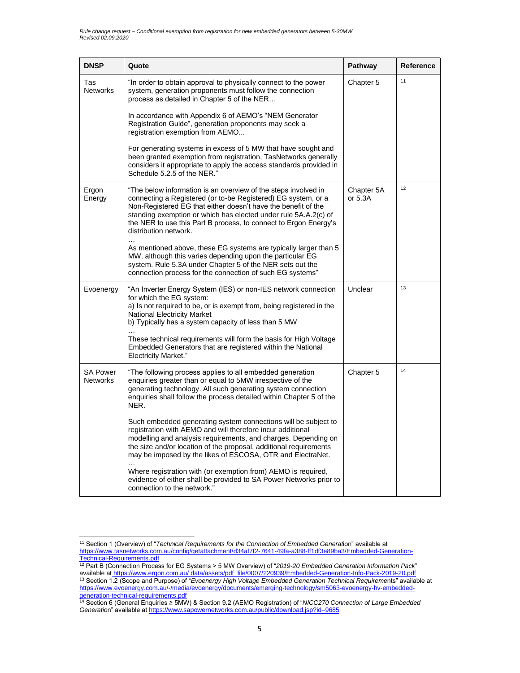| <b>DNSP</b>                        | Quote                                                                                                                                                                                                                                                                                                                                                            | Pathway               | Reference |
|------------------------------------|------------------------------------------------------------------------------------------------------------------------------------------------------------------------------------------------------------------------------------------------------------------------------------------------------------------------------------------------------------------|-----------------------|-----------|
| Tas<br><b>Networks</b>             | "In order to obtain approval to physically connect to the power<br>system, generation proponents must follow the connection<br>process as detailed in Chapter 5 of the NER                                                                                                                                                                                       | Chapter 5             | 11        |
|                                    | In accordance with Appendix 6 of AEMO's "NEM Generator<br>Registration Guide", generation proponents may seek a<br>registration exemption from AEMO                                                                                                                                                                                                              |                       |           |
|                                    | For generating systems in excess of 5 MW that have sought and<br>been granted exemption from registration, TasNetworks generally<br>considers it appropriate to apply the access standards provided in<br>Schedule 5.2.5 of the NER."                                                                                                                            |                       |           |
| Ergon<br>Energy                    | "The below information is an overview of the steps involved in<br>connecting a Registered (or to-be Registered) EG system, or a<br>Non-Registered EG that either doesn't have the benefit of the<br>standing exemption or which has elected under rule 5A.A.2(c) of<br>the NER to use this Part B process, to connect to Ergon Energy's<br>distribution network. | Chapter 5A<br>or 5.3A | 12        |
|                                    | As mentioned above, these EG systems are typically larger than 5<br>MW, although this varies depending upon the particular EG<br>system. Rule 5.3A under Chapter 5 of the NER sets out the<br>connection process for the connection of such EG systems"                                                                                                          |                       |           |
| Evoenergy                          | "An Inverter Energy System (IES) or non-IES network connection<br>for which the EG system:<br>a) Is not required to be, or is exempt from, being registered in the<br><b>National Electricity Market</b><br>b) Typically has a system capacity of less than 5 MW                                                                                                 | Unclear               | 13        |
|                                    | These technical requirements will form the basis for High Voltage<br>Embedded Generators that are registered within the National<br><b>Electricity Market."</b>                                                                                                                                                                                                  |                       |           |
| <b>SA Power</b><br><b>Networks</b> | "The following process applies to all embedded generation<br>enquiries greater than or equal to 5MW irrespective of the<br>generating technology. All such generating system connection<br>enquiries shall follow the process detailed within Chapter 5 of the<br>NER.                                                                                           | Chapter 5             | 14        |
|                                    | Such embedded generating system connections will be subject to<br>registration with AEMO and will therefore incur additional<br>modelling and analysis requirements, and charges. Depending on<br>the size and/or location of the proposal, additional requirements<br>may be imposed by the likes of ESCOSA, OTR and ElectraNet.                                |                       |           |
|                                    | Where registration with (or exemption from) AEMO is required,<br>evidence of either shall be provided to SA Power Networks prior to<br>connection to the network.'                                                                                                                                                                                               |                       |           |

<sup>11</sup> Section 1 (Overview) of "*Technical Requirements for the Connection of Embedded Generat*ion" available at https:[//www.tasnetworks.com.au/config/getattachment/d34af7f2-7641-49fa-a388-ff1df3e89ba3/Embedded-Generation-](http://www.tasnetworks.com.au/config/getattachment/d34af7f2-7641-49fa-a388-ff1df3e89ba3/Embedded-Generation-)Technical-Requirements.pdf

<sup>12</sup> Part B (Connection Process for EG Systems > 5 MW Overview) of "*2019-20 Embedded Generation Information Pack*" available at https:[//www.ergon.com.au/](http://www.ergon.com.au/) data/assets/pdf\_file/0007/220939/Embedded-Generation-Info-Pack-2019-20.pdf <sup>13</sup> Section 1.2 (Scope and Purpose) of "*Evoenergy High Voltage Embedded Generation Technical Requireme*nts" available at https:[//www.evoenergy.com.au/-/media/evoenergy/documents/emerging-technology/sm5063-evoenergy-hv-embedded](http://www.evoenergy.com.au/-/media/evoenergy/documents/emerging-technology/sm5063-evoenergy-hv-embedded-)generation-technical-requirements.pdf

<sup>14</sup> Section 6 (General Enquiries ≥ 5MW) & Section 9.2 (AEMO Registration) of "*NICC270 Connection of Large Embedded Generatio*n" available at https:/[/www.sapowernetworks.com.au/public/download.jsp?id=9685](http://www.sapowernetworks.com.au/public/download.jsp?id=9685)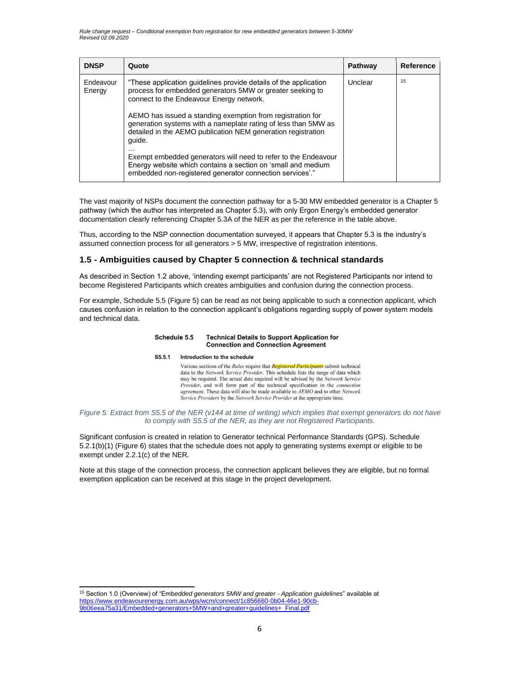| <b>DNSP</b>         | Quote                                                                                                                                                                                                                                                                                                                                                                               | Pathway | Reference |
|---------------------|-------------------------------------------------------------------------------------------------------------------------------------------------------------------------------------------------------------------------------------------------------------------------------------------------------------------------------------------------------------------------------------|---------|-----------|
| Endeavour<br>Energy | "These application guidelines provide details of the application<br>process for embedded generators 5MW or greater seeking to<br>connect to the Endeavour Energy network.<br>AEMO has issued a standing exemption from registration for<br>generation systems with a nameplate rating of less than 5MW as<br>detailed in the AEMO publication NEM generation registration<br>quide. | Unclear | 15        |
|                     | Exempt embedded generators will need to refer to the Endeavour<br>Energy website which contains a section on 'small and medium<br>embedded non-registered generator connection services'."                                                                                                                                                                                          |         |           |

The vast majority of NSPs document the connection pathway for a 5-30 MW embedded generator is a Chapter 5 pathway (which the author has interpreted as Chapter 5.3), with only Ergon Energy's embedded generator documentation clearly referencing Chapter 5.3A of the NER as per the reference in the table above.

Thus, according to the NSP connection documentation surveyed, it appears that Chapter 5.3 is the industry's assumed connection process for all generators > 5 MW, irrespective of registration intentions.

#### **1.5 - Ambiguities caused by Chapter 5 connection & technical standards**

As described in Section 1.2 above, 'intending exempt participants' are not Registered Participants nor intend to become Registered Participants which creates ambiguities and confusion during the connection process.

For example, Schedule 5.5 (Figure 5) can be read as not being applicable to such a connection applicant, which causes confusion in relation to the connection applicant's obligations regarding supply of power system models and technical data.

#### Schedule 5.5 **Technical Details to Support Application for Connection and Connection Agreement**

#### S5.5.1 Introduction to the schedule

Various sections of the Rules require that Registered Participants submit technical data to the Network Service Provider. This schedule lists the range of data which may be required. The actual data required will be advised by the Network Service Provider, and will form part of the technical specification in the *connection* agreement. These data will also be made available to AEMO and to other Network Service Providers by the Network Service Provider at the appropriate time.

#### *Figure 5: Extract from S5.5 of the NER (v144 at time of writing) which implies that exempt generators do not have to comply with S5.5 of the NER, as they are not Registered Participants.*

Significant confusion is created in relation to Generator technical Performance Standards (GPS). Schedule 5.2.1(b)(1) (Figure 6) states that the schedule does not apply to generating systems exempt or eligible to be exempt under 2.2.1(c) of the NER.

Note at this stage of the connection process, the connection applicant believes they are eligible, but no formal exemption application can be received at this stage in the project development.

<sup>15</sup> Section 1.0 (Overview) of "Emb*edded generators 5MW and greater - Application guidelines*" available at https:[//www.endeavourenergy.com.au/wps/wcm/connect/1c856660-0b04-46e1-90cb-](http://www.endeavourenergy.com.au/wps/wcm/connect/1c856660-0b04-46e1-90cb-)9b06eea75a31/Embedded+generators+5MW+and+greater+guidelines+\_Final.pdf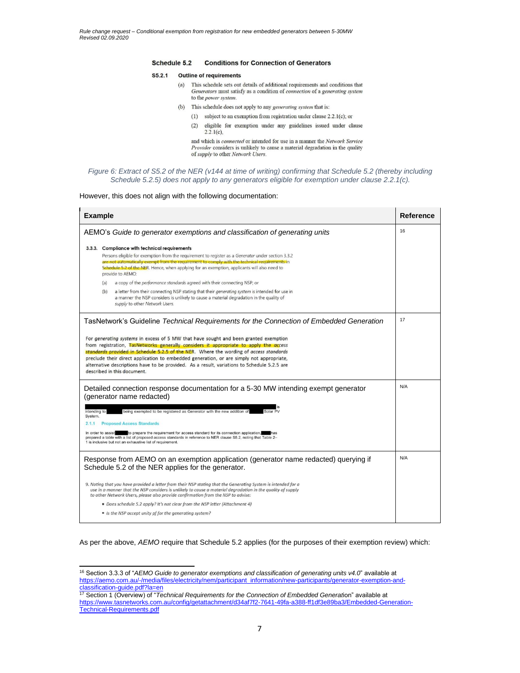#### Schedule 5.2 **Conditions for Connection of Generators**

#### $S5.2.1$ **Outline of requirements**

- $(a)$ This schedule sets out details of additional requirements and conditions that Generators must satisfy as a condition of connection of a generating system to the power system.
- (b) This schedule does not apply to any *generating system* that is:
	- (1) subject to an exemption from registration under clause 2.2.1(c); or
	- $(2)$ eligible for exemption under any guidelines issued under clause  $2.2.1(c)$ ,

and which is *connected* or intended for use in a manner the Network Service Provider considers is unlikely to cause a material degradation in the quality of supply to other Network Users.

#### *Figure 6: Extract of S5.2 of the NER (v144 at time of writing) confirming that Schedule 5.2 (thereby including Schedule 5.2.5) does not apply to any generators eligible for exemption under clause 2.2.1(c).*

However, this does not align with the following documentation:

| <b>Example</b>                                                                                                                                                                                                                                                                                                                                                                                                                                                                                    |    |  |  |
|---------------------------------------------------------------------------------------------------------------------------------------------------------------------------------------------------------------------------------------------------------------------------------------------------------------------------------------------------------------------------------------------------------------------------------------------------------------------------------------------------|----|--|--|
| AEMO's Guide to generator exemptions and classification of generating units                                                                                                                                                                                                                                                                                                                                                                                                                       |    |  |  |
| 3.3.3. Compliance with technical requirements<br>Persons eligible for exemption from the requirement to register as a Generator under section 3.3.2<br>are not automatically exempt from the requirement to comply with the technical requirements in<br>Schedule 5.2 of the NER. Hence, when applying for an exemption, applicants will also need to<br>provide to AEMO:                                                                                                                         |    |  |  |
| a copy of the performance standards agreed with their connecting NSP; or<br>(a)                                                                                                                                                                                                                                                                                                                                                                                                                   |    |  |  |
| a letter from their connecting NSP stating that their generating system is intended for use in<br>(b)<br>a manner the NSP considers is unlikely to cause a material degradation in the quality of<br>supply to other Network Users.                                                                                                                                                                                                                                                               |    |  |  |
| TasNetwork's Guideline Technical Requirements for the Connection of Embedded Generation                                                                                                                                                                                                                                                                                                                                                                                                           | 17 |  |  |
| For generating systems in excess of 5 MW that have sought and been granted exemption<br>from registration, TasNetworks generally considers it appropriate to apply the access<br>standards provided in Schedule 5.2.5 of the NER. Where the wording of access standards<br>preclude their direct application to embedded generation, or are simply not appropriate,<br>alternative descriptions have to be provided. As a result, variations to Schedule 5.2.5 are<br>described in this document. |    |  |  |
| Detailed connection response documentation for a 5-30 MW intending exempt generator<br>(generator name redacted)                                                                                                                                                                                                                                                                                                                                                                                  |    |  |  |
| Solar PV<br>intending to<br>being exempted to be registered as Generator with the new addition of<br>System.                                                                                                                                                                                                                                                                                                                                                                                      |    |  |  |
| <b>Proposed Access Standards</b><br>2.1.1                                                                                                                                                                                                                                                                                                                                                                                                                                                         |    |  |  |
| to prepare the requirement for access standard for its connection application,<br>In order to assist<br>prepared a table with a list of proposed access standards in reference to NER clause S5.2, noting that Table 2-<br>1 is inclusive but not an exhaustive list of requirement.                                                                                                                                                                                                              |    |  |  |
| Response from AEMO on an exemption application (generator name redacted) querying if<br>Schedule 5.2 of the NER applies for the generator.                                                                                                                                                                                                                                                                                                                                                        |    |  |  |
| 9. Noting that you have provided a letter from their NSP stating that the Generating System is intended for a<br>use in a manner that the NSP considers is unlikely to cause a material degradation in the quality of supply<br>to other Network Users, please also provide confirmation from the NSP to advise:                                                                                                                                                                                  |    |  |  |
| • Does schedule 5.2 apply? It's not clear from the NSP letter (Attachment 4)                                                                                                                                                                                                                                                                                                                                                                                                                      |    |  |  |
| • Is the NSP accept unity pf for the generating system?                                                                                                                                                                                                                                                                                                                                                                                                                                           |    |  |  |

As per the above, *AEMO* require that Schedule 5.2 applies (for the purposes of their exemption review) which:

<sup>16</sup> Section 3.3.3 of "*AEMO Guide to generator exemptions and classification of generating units v4.0*" available at https://aemo.com.au/-/media/files/electricity/nem/participant\_information/new-participants/generator-exemption-andclassification-guide.pdf?la=en

<sup>17</sup> Section 1 (Overview) of "*Technical Requirements for the Connection of Embedded Generat*ion" available at https:[//www.tasnetworks.com.au/config/getattachment/d34af7f2-7641-49fa-a388-ff1df3e89ba3/Embedded-Generation-](http://www.tasnetworks.com.au/config/getattachment/d34af7f2-7641-49fa-a388-ff1df3e89ba3/Embedded-Generation-)Technical-Requirements.pdf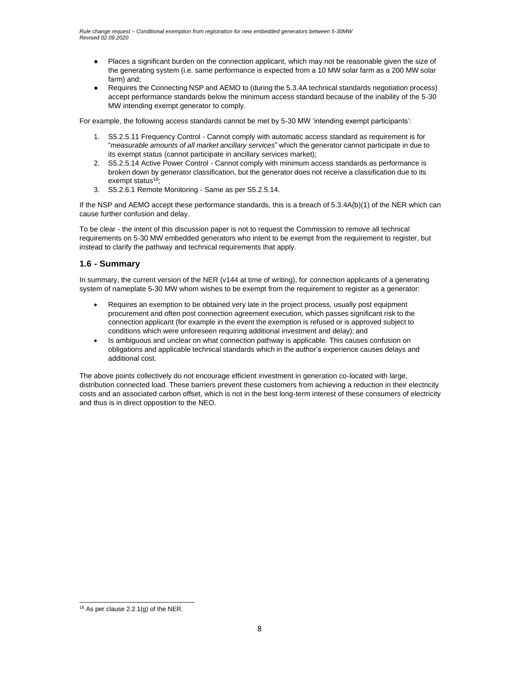- Places a significant burden on the connection applicant, which may not be reasonable given the size of the generating system (i.e. same performance is expected from a 10 MW solar farm as a 200 MW solar farm) and;
- Requires the Connecting NSP and AEMO to (during the 5.3.4A technical standards negotiation process) accept performance standards below the minimum access standard because of the inability of the 5-30 MW intending exempt generator to comply.

For example, the following access standards cannot be met by 5-30 MW 'intending exempt participants':

- 1. S5.2.5.11 Frequency Control Cannot comply with automatic access standard as requirement is for "*measurable amounts of all market ancillary services*" which the generator cannot participate in due to its exempt status (cannot participate in ancillary services market);
- 2. S5.2.5.14 Active Power Control Cannot comply with minimum access standards as performance is broken down by generator classification, but the generator does not receive a classification due to its exempt status<sup>18</sup>;
- 3. S5.2.6.1 Remote Monitoring Same as per S5.2.5.14.

If the NSP and AEMO accept these performance standards, this is a breach of 5.3.4A(b)(1) of the NER which can cause further confusion and delay.

To be clear - the intent of this discussion paper is not to request the Commission to remove all technical requirements on 5-30 MW embedded generators who intent to be exempt from the requirement to register, but instead to clarify the pathway and technical requirements that apply.

#### **1.6 - Summary**

In summary, the current version of the NER (v144 at time of writing), for connection applicants of a generating system of nameplate 5-30 MW whom wishes to be exempt from the requirement to register as a generator:

- Requires an exemption to be obtained very late in the project process, usually post equipment procurement and often post connection agreement execution, which passes significant risk to the connection applicant (for example in the event the exemption is refused or is approved subject to conditions which were unforeseen requiring additional investment and delay); and
- Is ambiguous and unclear on what connection pathway is applicable. This causes confusion on obligations and applicable technical standards which in the author's experience causes delays and additional cost.

The above points collectively do not encourage efficient investment in generation co-located with large, distribution connected load. These barriers prevent these customers from achieving a reduction in their electricity costs and an associated carbon offset, which is not in the best long-term interest of these consumers of electricity and thus is in direct opposition to the NEO.

 $18$  As per clause 2.2.1(g) of the NER.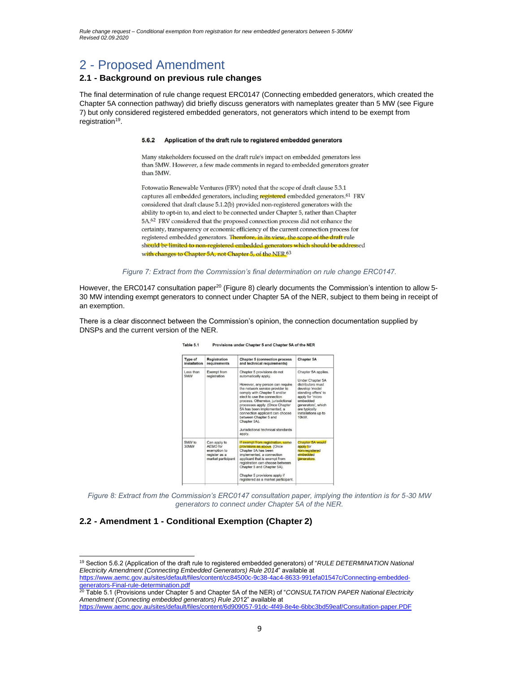# 2 - Proposed Amendment

### **2.1 - Background on previous rule changes**

The final determination of rule change request ERC0147 (Connecting embedded generators, which created the Chapter 5A connection pathway) did briefly discuss generators with nameplates greater than 5 MW (see Figure 7) but only considered registered embedded generators, not generators which intend to be exempt from registration<sup>19</sup>.

#### 5.6.2 Application of the draft rule to registered embedded generators

Many stakeholders focussed on the draft rule's impact on embedded generators less than 5MW. However, a few made comments in regard to embedded generators greater than 5MW.

Fotowatio Renewable Ventures (FRV) noted that the scope of draft clause 5.3.1 captures all embedded generators, including registered embedded generators.<sup>61</sup> FRV considered that draft clause 5.1.2(b) provided non-registered generators with the ability to opt-in to, and elect to be connected under Chapter 5, rather than Chapter 5A.62 FRV considered that the proposed connection process did not enhance the certainty, transparency or economic efficiency of the current connection process for registered embedded generators. Therefore, in its view, the scope of the draft rule should be limited to non-registered embedded generators which should be addressed with changes to Chapter 5A, not Chapter 5, of the NER.<sup>63</sup>

*Figure 7: Extract from the Commission's final determination on rule change ERC0147.*

However, the ERC0147 consultation paper<sup>20</sup> (Figure 8) clearly documents the Commission's intention to allow 5-30 MW intending exempt generators to connect under Chapter 5A of the NER, subject to them being in receipt of an exemption.

There is a clear disconnect between the Commission's opinion, the connection documentation supplied by DNSPs and the current version of the NER.

| Type of<br>installation | <b>Registration</b><br>requirements                                             | <b>Chapter 5 (connection process)</b><br>and technical requirements)                                                                                                                                                                                                                                                                                                                                                       | <b>Chapter 5A</b>                                                                                                                                                                                               |
|-------------------------|---------------------------------------------------------------------------------|----------------------------------------------------------------------------------------------------------------------------------------------------------------------------------------------------------------------------------------------------------------------------------------------------------------------------------------------------------------------------------------------------------------------------|-----------------------------------------------------------------------------------------------------------------------------------------------------------------------------------------------------------------|
| Less than<br>5MW        | Exempt from<br>registration                                                     | Chapter 5 provisions do not<br>automatically apply.<br>However, any person can require<br>the network service provider to<br>comply with Chapter 5 and/or<br>elect to use the connection<br>process. Otherwise, jurisdictional<br>processes apply. (Once Chapter<br>5A has been implemented, a<br>connection applicant can choose<br>between Chapter 5 and<br>Chapter 5A).<br>Jurisdictional technical standards<br>apply. | Chapter 5A applies.<br>Under Chapter 5A<br>distributors must<br>develop 'model<br>standing offers' to<br>apply for 'micro<br>embedded<br>generators', which<br>are typically<br>installations up to<br>$10kW$ . |
| 5MW to<br>WM08          | Can apply to<br>AFMO for<br>exemption to<br>register as a<br>market participant | If exempt from registration, same<br>provisions as above. (Once<br>Chapter 5A has been<br>implemented, a connection<br>applicant that is exempt from<br>registration can choose between<br>Chapter 5 and Chapter 5A).<br>Chapter 5 provisions apply if<br>registered as a market participant.                                                                                                                              | Chapter 5A would<br>apply for<br>non-registered<br>embedded<br>generators.                                                                                                                                      |

Table 5.1 Provisions under Chapter 5 and Chapter 5A of the NER

*Figure 8: Extract from the Commission's ERC0147 consultation paper, implying the intention is for 5-30 MW generators to connect under Chapter 5A of the NER.*

#### **2.2 - Amendment 1 - Conditional Exemption (Chapter 2)**

<sup>19</sup> Section 5.6.2 (Application of the draft rule to registered embedded generators) of "*RULE DETERMINATION National Electricity Amendment (Connecting Embedded Generators) Rule 2014*" available at https:[//www.aemc.gov.au/sites/default/files/content/cc84500c-9c38-4ac4-8633-991efa01547c/Connecting-embedded](http://www.aemc.gov.au/sites/default/files/content/cc84500c-9c38-4ac4-8633-991efa01547c/Connecting-embedded-)generators-Final-rule-determination.pdf

<sup>20</sup> Table 5.1 (Provisions under Chapter 5 and Chapter 5A of the NER) of "*CONSULTATION PAPER National Electricity Amendment (Connecting embedded generators) Rule 20*12" available at https:[//www.aemc.gov.au/sites/default/files/content/6d909057-91dc-4f49-8e4e-6bbc3bd59eaf/Consultation-paper.PDF](http://www.aemc.gov.au/sites/default/files/content/6d909057-91dc-4f49-8e4e-6bbc3bd59eaf/Consultation-paper.PDF)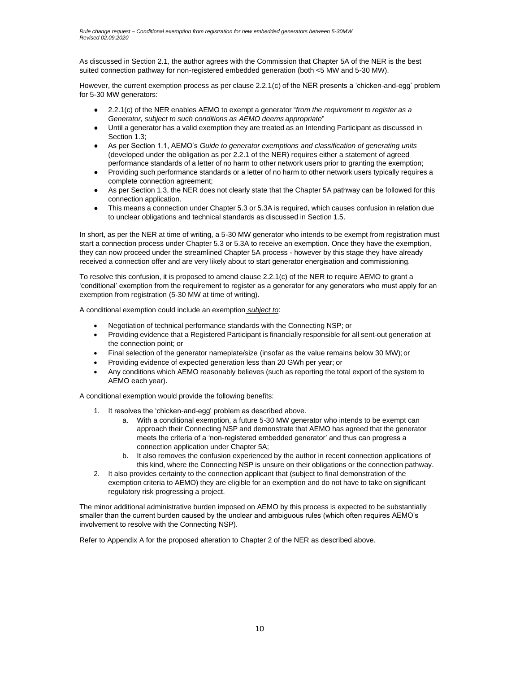As discussed in Section 2.1, the author agrees with the Commission that Chapter 5A of the NER is the best suited connection pathway for non-registered embedded generation (both <5 MW and 5-30 MW).

However, the current exemption process as per clause 2.2.1(c) of the NER presents a 'chicken-and-egg' problem for 5-30 MW generators:

- 2.2.1(c) of the NER enables AEMO to exempt a generator "*from the requirement to register as a Generator, subject to such conditions as AEMO deems appropriate*"
- Until a generator has a valid exemption they are treated as an Intending Participant as discussed in Section 1.3;
- As per Section 1.1, AEMO's *Guide to generator exemptions and classification of generating units* (developed under the obligation as per 2.2.1 of the NER) requires either a statement of agreed performance standards of a letter of no harm to other network users prior to granting the exemption;
- Providing such performance standards or a letter of no harm to other network users typically requires a complete connection agreement;
- As per Section 1.3, the NER does not clearly state that the Chapter 5A pathway can be followed for this connection application.
- This means a connection under Chapter 5.3 or 5.3A is required, which causes confusion in relation due to unclear obligations and technical standards as discussed in Section 1.5.

In short, as per the NER at time of writing, a 5-30 MW generator who intends to be exempt from registration must start a connection process under Chapter 5.3 or 5.3A to receive an exemption. Once they have the exemption, they can now proceed under the streamlined Chapter 5A process - however by this stage they have already received a connection offer and are very likely about to start generator energisation and commissioning.

To resolve this confusion, it is proposed to amend clause 2.2.1(c) of the NER to require AEMO to grant a 'conditional' exemption from the requirement to register as a generator for any generators who must apply for an exemption from registration (5-30 MW at time of writing).

A conditional exemption could include an exemption *subject to*:

- Negotiation of technical performance standards with the Connecting NSP; or
- Providing evidence that a Registered Participant is financially responsible for all sent-out generation at the connection point; or
- Final selection of the generator nameplate/size (insofar as the value remains below 30 MW);or
- Providing evidence of expected generation less than 20 GWh per year; or
- Any conditions which AEMO reasonably believes (such as reporting the total export of the system to AEMO each year).

A conditional exemption would provide the following benefits:

- 1. It resolves the 'chicken-and-egg' problem as described above.
	- a. With a conditional exemption, a future 5-30 MW generator who intends to be exempt can approach their Connecting NSP and demonstrate that AEMO has agreed that the generator meets the criteria of a 'non-registered embedded generator' and thus can progress a connection application under Chapter 5A;
	- b. It also removes the confusion experienced by the author in recent connection applications of this kind, where the Connecting NSP is unsure on their obligations or the connection pathway.
- 2. It also provides certainty to the connection applicant that (subject to final demonstration of the exemption criteria to AEMO) they are eligible for an exemption and do not have to take on significant regulatory risk progressing a project.

The minor additional administrative burden imposed on AEMO by this process is expected to be substantially smaller than the current burden caused by the unclear and ambiguous rules (which often requires AEMO's involvement to resolve with the Connecting NSP).

Refer to Appendix A for the proposed alteration to Chapter 2 of the NER as described above.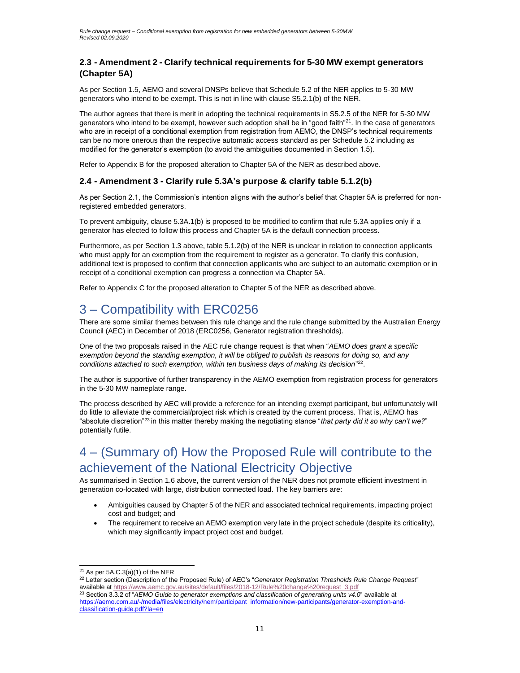### **2.3 - Amendment 2 - Clarify technical requirements for 5-30 MW exempt generators (Chapter 5A)**

As per Section 1.5, AEMO and several DNSPs believe that Schedule 5.2 of the NER applies to 5-30 MW generators who intend to be exempt. This is not in line with clause S5.2.1(b) of the NER.

The author agrees that there is merit in adopting the technical requirements in S5.2.5 of the NER for 5-30 MW generators who intend to be exempt, however such adoption shall be in "good faith"<sup>21</sup>. In the case of generators who are in receipt of a conditional exemption from registration from AEMO, the DNSP's technical requirements can be no more onerous than the respective automatic access standard as per Schedule 5.2 including as modified for the generator's exemption (to avoid the ambiguities documented in Section 1.5).

Refer to Appendix B for the proposed alteration to Chapter 5A of the NER as described above.

### **2.4 - Amendment 3 - Clarify rule 5.3A's purpose & clarify table 5.1.2(b)**

As per Section 2.1, the Commission's intention aligns with the author's belief that Chapter 5A is preferred for nonregistered embedded generators.

To prevent ambiguity, clause 5.3A.1(b) is proposed to be modified to confirm that rule 5.3A applies only if a generator has elected to follow this process and Chapter 5A is the default connection process.

Furthermore, as per Section 1.3 above, table 5.1.2(b) of the NER is unclear in relation to connection applicants who must apply for an exemption from the requirement to register as a generator. To clarify this confusion, additional text is proposed to confirm that connection applicants who are subject to an automatic exemption or in receipt of a conditional exemption can progress a connection via Chapter 5A.

Refer to Appendix C for the proposed alteration to Chapter 5 of the NER as described above.

## 3 – Compatibility with ERC0256

There are some similar themes between this rule change and the rule change submitted by the Australian Energy Council (AEC) in December of 2018 (ERC0256, Generator registration thresholds).

One of the two proposals raised in the AEC rule change request is that when "*AEMO does grant a specific exemption beyond the standing exemption, it will be obliged to publish its reasons for doing so, and any*  conditions attached to such exemption, within ten business days of making its decision<sup>"22</sup>.

The author is supportive of further transparency in the AEMO exemption from registration process for generators in the 5-30 MW nameplate range.

The process described by AEC will provide a reference for an intending exempt participant, but unfortunately will do little to alleviate the commercial/project risk which is created by the current process. That is, AEMO has "absolute discretion"<sup>23</sup>in this matter thereby making the negotiating stance "*that party did it so why can't we?*" potentially futile.

# 4 – (Summary of) How the Proposed Rule will contribute to the achievement of the National Electricity Objective

As summarised in Section 1.6 above, the current version of the NER does not promote efficient investment in generation co-located with large, distribution connected load. The key barriers are:

- Ambiguities caused by Chapter 5 of the NER and associated technical requirements, impacting project cost and budget; and
- The requirement to receive an AEMO exemption very late in the project schedule (despite its criticality), which may significantly impact project cost and budget.

 $21$  As per 5A.C.3(a)(1) of the NER

<sup>22</sup> Letter section (Description of the Proposed Rule) of AEC's "*Generator Registration Thresholds Rule Change Request*" available at https:[//www.aemc.gov.au/sites/default/files/2018-12/Rule%20change%20request\\_3.pdf](http://www.aemc.gov.au/sites/default/files/2018-12/Rule%20change%20request_3.pdf) <sup>23</sup> Section 3.3.2 of "*AEMO Guide to generator exemptions and classification of generating units v4.0*" available at https://aemo.com.au/-/media/files/electricity/nem/participant\_information/new-participants/generator-exemption-andclassification-guide.pdf?la=en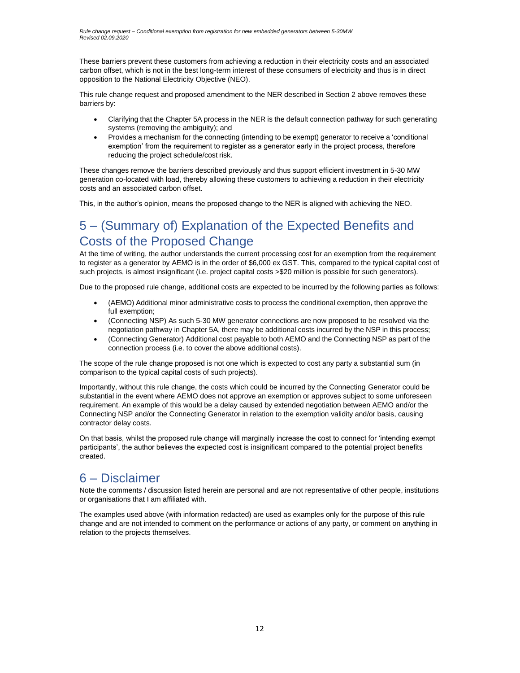These barriers prevent these customers from achieving a reduction in their electricity costs and an associated carbon offset, which is not in the best long-term interest of these consumers of electricity and thus is in direct opposition to the National Electricity Objective (NEO).

This rule change request and proposed amendment to the NER described in Section 2 above removes these barriers by:

- Clarifying that the Chapter 5A process in the NER is the default connection pathway for such generating systems (removing the ambiguity); and
- Provides a mechanism for the connecting (intending to be exempt) generator to receive a 'conditional exemption' from the requirement to register as a generator early in the project process, therefore reducing the project schedule/cost risk.

These changes remove the barriers described previously and thus support efficient investment in 5-30 MW generation co-located with load, thereby allowing these customers to achieving a reduction in their electricity costs and an associated carbon offset.

This, in the author's opinion, means the proposed change to the NER is aligned with achieving the NEO.

# 5 – (Summary of) Explanation of the Expected Benefits and Costs of the Proposed Change

At the time of writing, the author understands the current processing cost for an exemption from the requirement to register as a generator by AEMO is in the order of \$6,000 ex GST. This, compared to the typical capital cost of such projects, is almost insignificant (i.e. project capital costs >\$20 million is possible for such generators).

Due to the proposed rule change, additional costs are expected to be incurred by the following parties as follows:

- (AEMO) Additional minor administrative costs to process the conditional exemption, then approve the full exemption;
- (Connecting NSP) As such 5-30 MW generator connections are now proposed to be resolved via the negotiation pathway in Chapter 5A, there may be additional costs incurred by the NSP in this process;
- (Connecting Generator) Additional cost payable to both AEMO and the Connecting NSP as part of the connection process (i.e. to cover the above additional costs).

The scope of the rule change proposed is not one which is expected to cost any party a substantial sum (in comparison to the typical capital costs of such projects).

Importantly, without this rule change, the costs which could be incurred by the Connecting Generator could be substantial in the event where AEMO does not approve an exemption or approves subject to some unforeseen requirement. An example of this would be a delay caused by extended negotiation between AEMO and/or the Connecting NSP and/or the Connecting Generator in relation to the exemption validity and/or basis, causing contractor delay costs.

On that basis, whilst the proposed rule change will marginally increase the cost to connect for 'intending exempt participants', the author believes the expected cost is insignificant compared to the potential project benefits created.

## 6 – Disclaimer

Note the comments / discussion listed herein are personal and are not representative of other people, institutions or organisations that I am affiliated with.

The examples used above (with information redacted) are used as examples only for the purpose of this rule change and are not intended to comment on the performance or actions of any party, or comment on anything in relation to the projects themselves.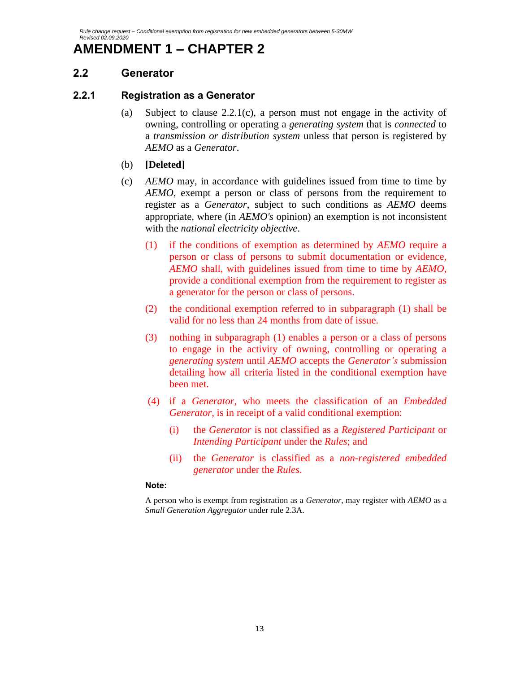# **AMENDMENT 1 – CHAPTER 2**

## **2.2 Generator**

## **2.2.1 Registration as a Generator**

- (a) Subject to clause  $2.2.1(c)$ , a person must not engage in the activity of owning, controlling or operating a *generating system* that is *connected* to a *transmission or distribution system* unless that person is registered by *AEMO* as a *Generator*.
- (b) **[Deleted]**
- (c) *AEMO* may, in accordance with guidelines issued from time to time by *AEMO*, exempt a person or class of persons from the requirement to register as a *Generator*, subject to such conditions as *AEMO* deems appropriate, where (in *AEMO's* opinion) an exemption is not inconsistent with the *national electricity objective*.
	- (1) if the conditions of exemption as determined by *AEMO* require a person or class of persons to submit documentation or evidence, *AEMO* shall, with guidelines issued from time to time by *AEMO*, provide a conditional exemption from the requirement to register as a generator for the person or class of persons.
	- (2) the conditional exemption referred to in subparagraph (1) shall be valid for no less than 24 months from date of issue.
	- (3) nothing in subparagraph (1) enables a person or a class of persons to engage in the activity of owning, controlling or operating a *generating system* until *AEMO* accepts the *Generator's* submission detailing how all criteria listed in the conditional exemption have been met.
	- (4) if a *Generator,* who meets the classification of an *Embedded Generator,* is in receipt of a valid conditional exemption:
		- (i) the *Generator* is not classified as a *Registered Participant* or *Intending Participant* under the *Rules*; and
		- (ii) the *Generator* is classified as a *non-registered embedded generator* under the *Rules*.

### **Note:**

A person who is exempt from registration as a *Generator*, may register with *AEMO* as a *Small Generation Aggregator* under rule 2.3A.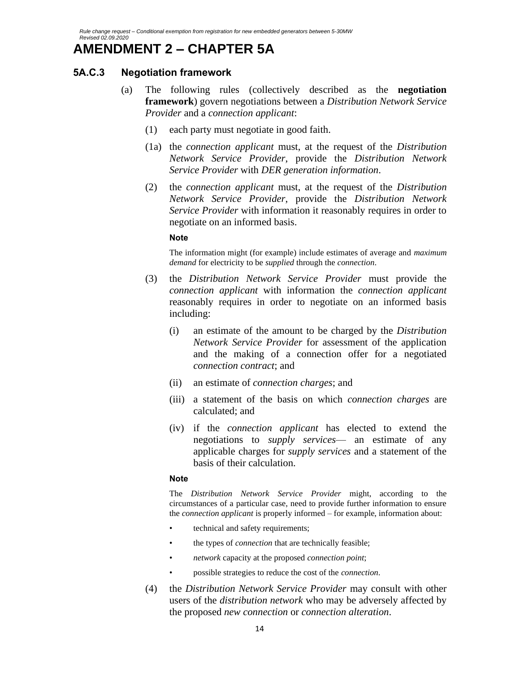# **AMENDMENT 2 – CHAPTER 5A**

## **5A.C.3 Negotiation framework**

- (a) The following rules (collectively described as the **negotiation framework**) govern negotiations between a *Distribution Network Service Provider* and a *connection applicant*:
	- (1) each party must negotiate in good faith.
	- (1a) the *connection applicant* must, at the request of the *Distribution Network Service Provider*, provide the *Distribution Network Service Provider* with *DER generation information*.
	- (2) the *connection applicant* must, at the request of the *Distribution Network Service Provider*, provide the *Distribution Network Service Provider* with information it reasonably requires in order to negotiate on an informed basis.

### **Note**

The information might (for example) include estimates of average and *maximum demand* for electricity to be *supplied* through the *connection*.

- (3) the *Distribution Network Service Provider* must provide the *connection applicant* with information the *connection applicant* reasonably requires in order to negotiate on an informed basis including:
	- (i) an estimate of the amount to be charged by the *Distribution Network Service Provider* for assessment of the application and the making of a connection offer for a negotiated *connection contract*; and
	- (ii) an estimate of *connection charges*; and
	- (iii) a statement of the basis on which *connection charges* are calculated; and
	- (iv) if the *connection applicant* has elected to extend the negotiations to *supply services*— an estimate of any applicable charges for *supply services* and a statement of the basis of their calculation.

### **Note**

The *Distribution Network Service Provider* might, according to the circumstances of a particular case, need to provide further information to ensure the *connection applicant* is properly informed – for example, information about:

- technical and safety requirements;
- the types of *connection* that are technically feasible;
- *network* capacity at the proposed *connection point*;
- possible strategies to reduce the cost of the *connection*.
- (4) the *Distribution Network Service Provider* may consult with other users of the *distribution network* who may be adversely affected by the proposed *new connection* or *connection alteration*.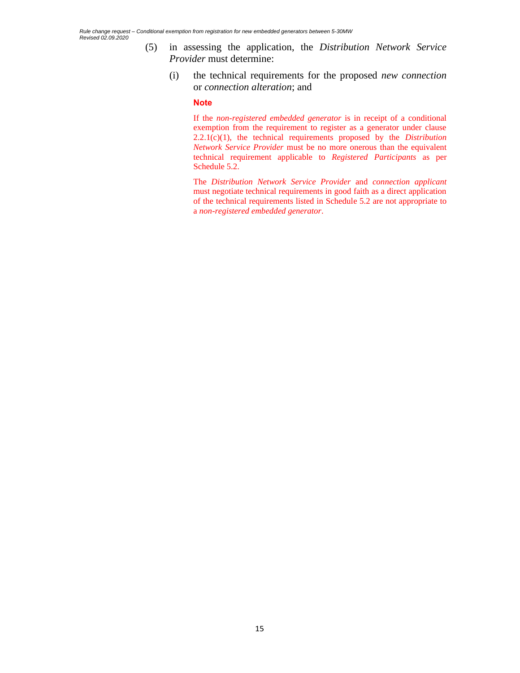- (5) in assessing the application, the *Distribution Network Service Provider* must determine:
	- (i) the technical requirements for the proposed *new connection* or *connection alteration*; and

#### **Note**

If the *non-registered embedded generator* is in receipt of a conditional exemption from the requirement to register as a generator under clause 2.2.1(c)(1), the technical requirements proposed by the *Distribution Network Service Provider* must be no more onerous than the equivalent technical requirement applicable to *Registered Participants* as per Schedule 5.2.

The *Distribution Network Service Provider* and *connection applicant*  must negotiate technical requirements in good faith as a direct application of the technical requirements listed in Schedule 5.2 are not appropriate to a *non-registered embedded generator*.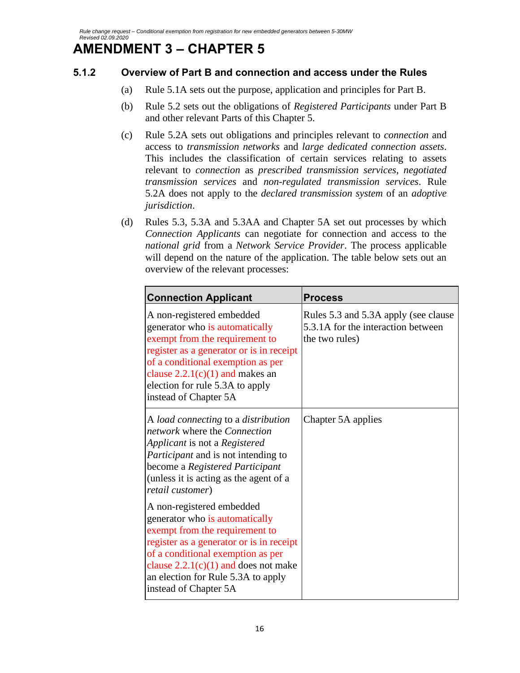# **AMENDMENT 3 – CHAPTER 5**

## **5.1.2 Overview of Part B and connection and access under the Rules**

- (a) Rule 5.1A sets out the purpose, application and principles for Part B.
- (b) Rule 5.2 sets out the obligations of *Registered Participants* under Part B and other relevant Parts of this Chapter 5.
- (c) Rule 5.2A sets out obligations and principles relevant to *connection* and access to *transmission networks* and *large dedicated connection assets*. This includes the classification of certain services relating to assets relevant to *connection* as *prescribed transmission services*, *negotiated transmission services* and *non-regulated transmission services*. Rule 5.2A does not apply to the *declared transmission system* of an *adoptive jurisdiction*.
- (d) Rules 5.3, 5.3A and 5.3AA and Chapter 5A set out processes by which *Connection Applicants* can negotiate for connection and access to the *national grid* from a *Network Service Provider*. The process applicable will depend on the nature of the application. The table below sets out an overview of the relevant processes:

| <b>Connection Applicant</b>                                                                                                                                                                                                                                                             | <b>Process</b>                                                                                |
|-----------------------------------------------------------------------------------------------------------------------------------------------------------------------------------------------------------------------------------------------------------------------------------------|-----------------------------------------------------------------------------------------------|
| A non-registered embedded<br>generator who is automatically<br>exempt from the requirement to<br>register as a generator or is in receipt<br>of a conditional exemption as per<br>clause $2.2.1(c)(1)$ and makes an<br>election for rule 5.3A to apply<br>instead of Chapter 5A         | Rules 5.3 and 5.3A apply (see clause)<br>5.3.1A for the interaction between<br>the two rules) |
| A load connecting to a distribution<br>network where the Connection<br>Applicant is not a Registered<br><i>Participant</i> and is not intending to<br>become a Registered Participant<br>(unless it is acting as the agent of a<br>retail customer)                                     | Chapter 5A applies                                                                            |
| A non-registered embedded<br>generator who is automatically<br>exempt from the requirement to<br>register as a generator or is in receipt<br>of a conditional exemption as per<br>clause $2.2.1(c)(1)$ and does not make<br>an election for Rule 5.3A to apply<br>instead of Chapter 5A |                                                                                               |